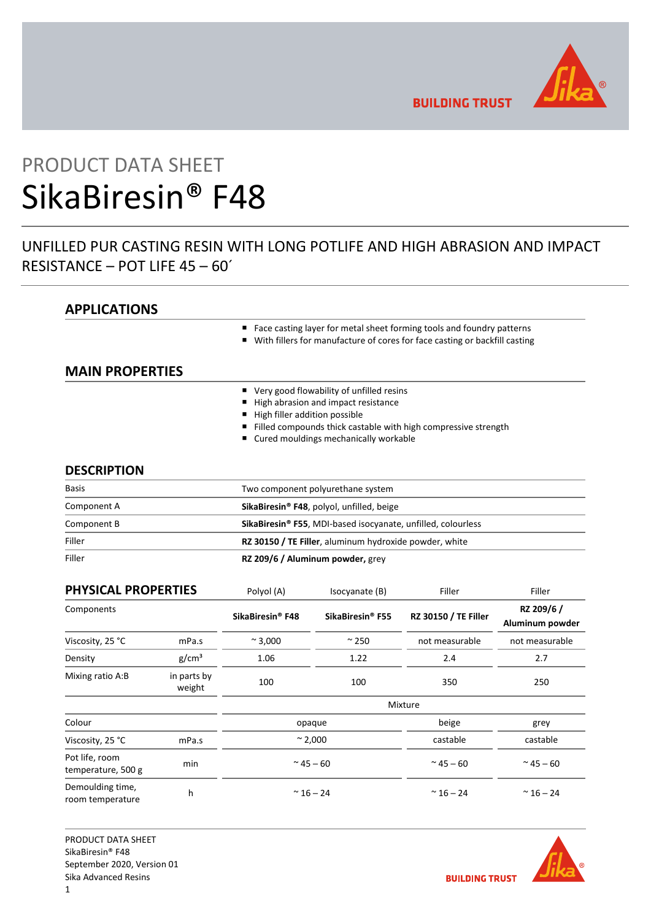

**BUILDING TRUST** 

# PRODUCT DATA SHEET SikaBiresin® F48

# UNFILLED PUR CASTING RESIN WITH LONG POTLIFE AND HIGH ABRASION AND IMPACT RESISTANCE – POT LIFE 45 – 60´

## **APPLICATIONS**

- Face casting layer for metal sheet forming tools and foundry patterns
- With fillers for manufacture of cores for face casting or backfill casting

## **MAIN PROPERTIES**

- Very good flowability of unfilled resins
- High abrasion and impact resistance
- $\blacksquare$  High filler addition possible
- Filled compounds thick castable with high compressive strength
- Cured mouldings mechanically workable

## **DESCRIPTION**

| <b>Basis</b> | Two component polyurethane system                                        |  |  |
|--------------|--------------------------------------------------------------------------|--|--|
| Component A  | SikaBiresin <sup>®</sup> F48, polyol, unfilled, beige                    |  |  |
| Component B  | SikaBiresin <sup>®</sup> F55, MDI-based isocyanate, unfilled, colourless |  |  |
| Filler       | RZ 30150 / TE Filler, aluminum hydroxide powder, white                   |  |  |
| Filler       | RZ 209/6 / Aluminum powder, grey                                         |  |  |

| <b>PHYSICAL PROPERTIES</b>           |                       | Polyol (A)                   | Isocyanate (B)               | Filler                      | Filler                        |
|--------------------------------------|-----------------------|------------------------------|------------------------------|-----------------------------|-------------------------------|
| Components                           |                       | SikaBiresin <sup>®</sup> F48 | SikaBiresin <sup>®</sup> F55 | <b>RZ 30150 / TE Filler</b> | RZ 209/6 /<br>Aluminum powder |
| Viscosity, 25 °C                     | mPa.s                 | $~^{\sim}$ 3,000             | $\approx$ 250                | not measurable              | not measurable                |
| Density                              | g/cm <sup>3</sup>     | 1.06                         | 1.22                         | 2.4                         | 2.7                           |
| Mixing ratio A:B                     | in parts by<br>weight | 100                          | 100                          | 350                         | 250                           |
|                                      |                       |                              |                              | Mixture                     |                               |
| Colour                               |                       | opaque                       |                              | beige                       | grey                          |
| Viscosity, 25 °C                     | mPa.s                 | $\sim$ 2,000                 |                              | castable                    | castable                      |
| Pot life, room<br>temperature, 500 g | min                   | $^{\sim}$ 45 $-$ 60          |                              | $^{\sim}$ 45 $-$ 60         | $~^{\sim}$ 45 $-$ 60          |
| Demoulding time,<br>room temperature | h                     | $~^{\sim}$ 16 - 24           |                              | $~^{\sim}$ 16 - 24          | $~^{\sim}$ 16 - 24            |

PRODUCT DATA SHEET SikaBiresin® F48 September 2020, Version 01 Sika Advanced Resins 1

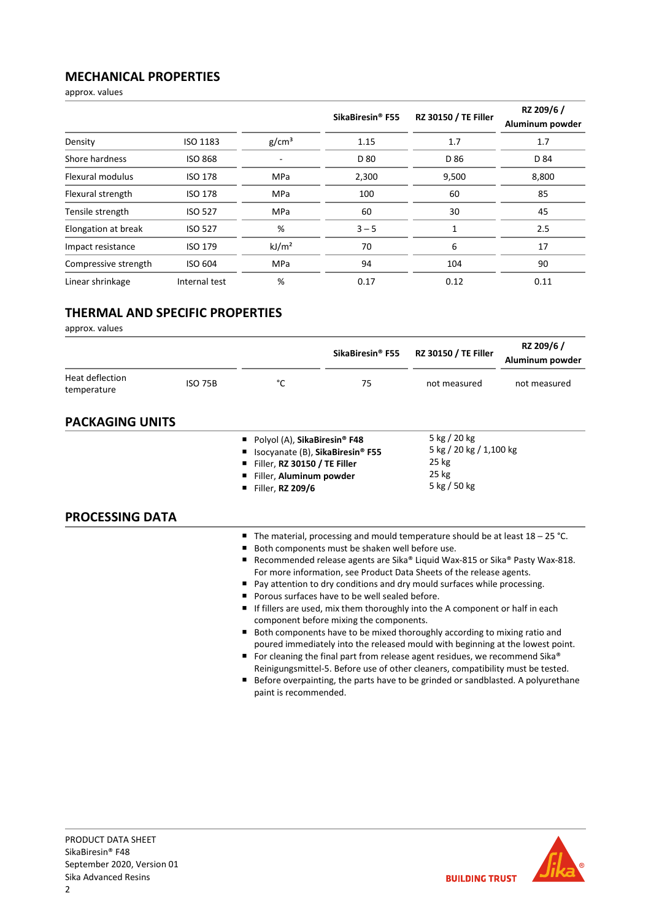## **MECHANICAL PROPERTIES**

approx. values

|                      |                |                   | SikaBiresin <sup>®</sup> F55 | RZ 30150 / TE Filler | RZ 209/6 /<br>Aluminum powder |
|----------------------|----------------|-------------------|------------------------------|----------------------|-------------------------------|
| Density              | ISO 1183       | g/cm <sup>3</sup> | 1.15                         | 1.7                  | 1.7                           |
| Shore hardness       | <b>ISO 868</b> |                   | D 80                         | D 86                 | D 84                          |
| Flexural modulus     | <b>ISO 178</b> | <b>MPa</b>        | 2,300                        | 9,500                | 8,800                         |
| Flexural strength    | <b>ISO 178</b> | <b>MPa</b>        | 100                          | 60                   | 85                            |
| Tensile strength     | <b>ISO 527</b> | <b>MPa</b>        | 60                           | 30                   | 45                            |
| Elongation at break  | <b>ISO 527</b> | %                 | $3 - 5$                      | 1                    | 2.5                           |
| Impact resistance    | <b>ISO 179</b> | kJ/m <sup>2</sup> | 70                           | 6                    | 17                            |
| Compressive strength | <b>ISO 604</b> | <b>MPa</b>        | 94                           | 104                  | 90                            |
| Linear shrinkage     | Internal test  | %                 | 0.17                         | 0.12                 | 0.11                          |

## **THERMAL AND SPECIFIC PROPERTIES**

approx. values

|                                |                |                                                                                                             | SikaBiresin <sup>®</sup> F55                                                                                                                                                                                                                                                                                                                                                                                                                                                                                                                                                                                                                                                                                                                                                                                                                                                                                                                                             | <b>RZ 30150 / TE Filler</b>                                                 | RZ 209/6 /<br>Aluminum powder |
|--------------------------------|----------------|-------------------------------------------------------------------------------------------------------------|--------------------------------------------------------------------------------------------------------------------------------------------------------------------------------------------------------------------------------------------------------------------------------------------------------------------------------------------------------------------------------------------------------------------------------------------------------------------------------------------------------------------------------------------------------------------------------------------------------------------------------------------------------------------------------------------------------------------------------------------------------------------------------------------------------------------------------------------------------------------------------------------------------------------------------------------------------------------------|-----------------------------------------------------------------------------|-------------------------------|
| Heat deflection<br>temperature | <b>ISO 75B</b> | °C                                                                                                          | 75                                                                                                                                                                                                                                                                                                                                                                                                                                                                                                                                                                                                                                                                                                                                                                                                                                                                                                                                                                       | not measured                                                                | not measured                  |
| <b>PACKAGING UNITS</b>         |                |                                                                                                             |                                                                                                                                                                                                                                                                                                                                                                                                                                                                                                                                                                                                                                                                                                                                                                                                                                                                                                                                                                          |                                                                             |                               |
|                                |                | Polyol (A), SikaBiresin® F48<br>Filler, RZ 30150 / TE Filler<br>Filler, Aluminum powder<br>Filler, RZ 209/6 | Isocyanate (B), SikaBiresin® F55                                                                                                                                                                                                                                                                                                                                                                                                                                                                                                                                                                                                                                                                                                                                                                                                                                                                                                                                         | 5 kg / 20 kg<br>5 kg / 20 kg / 1,100 kg<br>$25$ kg<br>25 kg<br>5 kg / 50 kg |                               |
| <b>PROCESSING DATA</b>         |                |                                                                                                             |                                                                                                                                                                                                                                                                                                                                                                                                                                                                                                                                                                                                                                                                                                                                                                                                                                                                                                                                                                          |                                                                             |                               |
|                                |                | paint is recommended.                                                                                       | The material, processing and mould temperature should be at least $18 - 25$ °C.<br>Both components must be shaken well before use.<br>Recommended release agents are Sika® Liquid Wax-815 or Sika® Pasty Wax-818.<br>For more information, see Product Data Sheets of the release agents.<br>Pay attention to dry conditions and dry mould surfaces while processing.<br>Porous surfaces have to be well sealed before.<br>If fillers are used, mix them thoroughly into the A component or half in each<br>component before mixing the components.<br>Both components have to be mixed thoroughly according to mixing ratio and<br>poured immediately into the released mould with beginning at the lowest point.<br>For cleaning the final part from release agent residues, we recommend Sika®<br>Reinigungsmittel-5. Before use of other cleaners, compatibility must be tested.<br>Before overpainting, the parts have to be grinded or sandblasted. A polyurethane |                                                                             |                               |

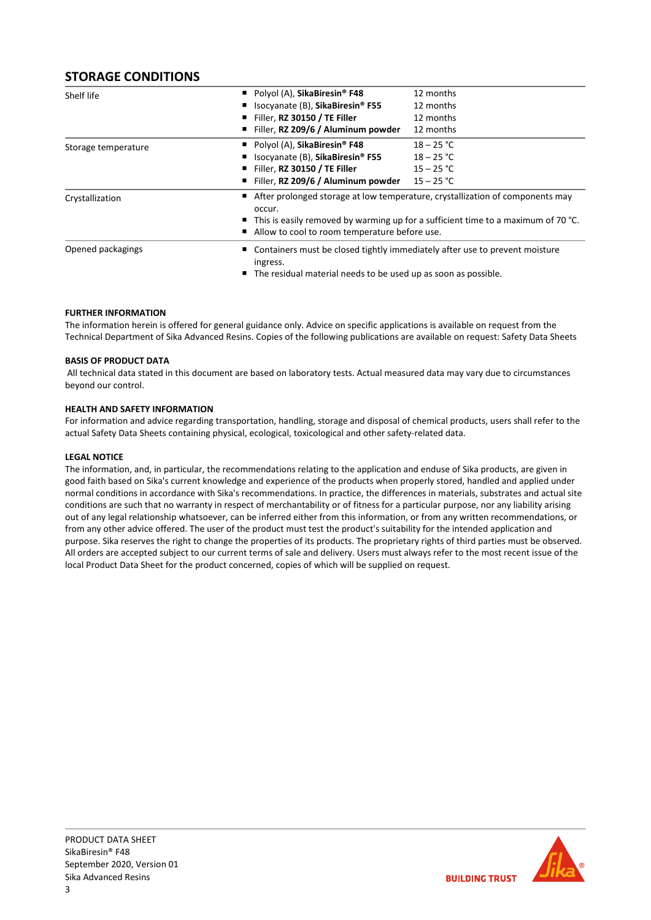## **STORAGE CONDITIONS**

| Shelf life                                    | Polyol (A), SikaBiresin <sup>®</sup> F48     | 12 months                                                                                                                                                                           |  |  |
|-----------------------------------------------|----------------------------------------------|-------------------------------------------------------------------------------------------------------------------------------------------------------------------------------------|--|--|
|                                               | Isocyanate (B), SikaBiresin <sup>®</sup> F55 | 12 months                                                                                                                                                                           |  |  |
|                                               | Filler, RZ 30150 / TE Filler                 | 12 months                                                                                                                                                                           |  |  |
|                                               | Filler, RZ 209/6 / Aluminum powder           | 12 months                                                                                                                                                                           |  |  |
| Storage temperature                           | Polyol (A), SikaBiresin <sup>®</sup> F48     | $18 - 25 °C$                                                                                                                                                                        |  |  |
|                                               | Isocyanate (B), SikaBiresin <sup>®</sup> F55 | $18 - 25 °C$                                                                                                                                                                        |  |  |
|                                               | Filler, RZ 30150 / TE Filler                 | $15 - 25 °C$                                                                                                                                                                        |  |  |
|                                               | Filler, RZ 209/6 / Aluminum powder           | $15 - 25 °C$                                                                                                                                                                        |  |  |
| Crystallization                               | occur.                                       | ■ After prolonged storage at low temperature, crystallization of components may<br>$\blacksquare$ This is easily removed by warming up for a sufficient time to a maximum of 70 °C. |  |  |
| Allow to cool to room temperature before use. |                                              |                                                                                                                                                                                     |  |  |
| Opened packagings                             | ingress.                                     | Containers must be closed tightly immediately after use to prevent moisture<br>■ The residual material needs to be used up as soon as possible.                                     |  |  |
|                                               |                                              |                                                                                                                                                                                     |  |  |

#### **FURTHER INFORMATION**

The information herein is offered for general guidance only. Advice on specific applications is available on request from the Technical Department of Sika Advanced Resins. Copies of the following publications are available on request: Safety Data Sheets

#### **BASIS OF PRODUCT DATA**

All technical data stated in this document are based on laboratory tests. Actual measured data may vary due to circumstances beyond our control.

#### **HEALTH AND SAFETY INFORMATION**

For information and advice regarding transportation, handling, storage and disposal of chemical products, users shall refer to the actual Safety Data Sheets containing physical, ecological, toxicological and other safety-related data.

#### **LEGAL NOTICE**

The information, and, in particular, the recommendations relating to the application and enduse of Sika products, are given in good faith based on Sika's current knowledge and experience of the products when properly stored, handled and applied under normal conditions in accordance with Sika's recommendations. In practice, the differences in materials, substrates and actual site conditions are such that no warranty in respect of merchantability or of fitness for a particular purpose, nor any liability arising out of any legal relationship whatsoever, can be inferred either from this information, or from any written recommendations, or from any other advice offered. The user of the product must test the product's suitability for the intended application and purpose. Sika reserves the right to change the properties of its products. The proprietary rights of third parties must be observed. All orders are accepted subject to our current terms of sale and delivery. Users must always refer to the most recent issue of the local Product Data Sheet for the product concerned, copies of which will be supplied on request.